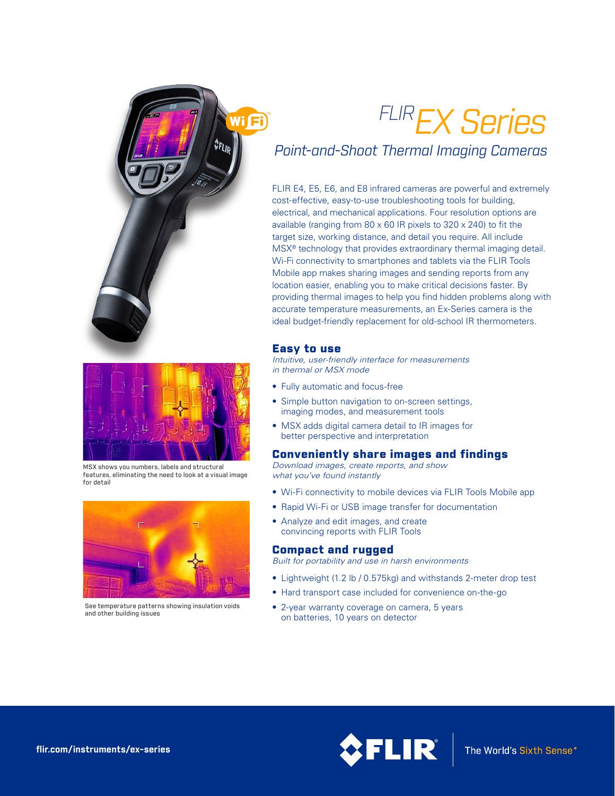# *FLIREX Series*

## *Point-and-Shoot Thermal Imaging Cameras*

FLIR E4, E5, E6, and E8 infrared cameras are powerful and extremely cost-effective, easy-to-use troubleshooting tools for building, electrical, and mechanical applications. Four resolution options are available (ranging from 80 x 60 IR pixels to 320 x 240) to fit the target size, working distance, and detail you require. All include MSX® technology that provides extraordinary thermal imaging detail. Wi-Fi connectivity to smartphones and tablets via the FLIR Tools Mobile app makes sharing images and sending reports from any location easier, enabling you to make critical decisions faster. By providing thermal images to help you find hidden problems along with accurate temperature measurements, an Ex-Series camera is the ideal budget-friendly replacement for old-school IR thermometers.

#### Easy to use

Ni Fi

*Intuitive, user-friendly interface for measurements in thermal or MSX mode*

- Fully automatic and focus-free
- Simple button navigation to on-screen settings, imaging modes, and measurement tools
- MSX adds digital camera detail to IR images for better perspective and interpretation

#### Conveniently share images and findings

*Download images, create reports, and show what you've found instantly*

- Wi-Fi connectivity to mobile devices via FLIR Tools Mobile app
- Rapid Wi-Fi or USB image transfer for documentation
- Analyze and edit images, and create convincing reports with FLIR Tools

#### Compact and rugged

*Built for portability and use in harsh environments*

- Lightweight (1.2 lb / 0.575kg) and withstands 2-meter drop test
- Hard transport case included for convenience on-the-go
- 2-year warranty coverage on camera, 5 years on batteries, 10 years on detector



MSX shows you numbers, labels and structural features, eliminating the need to look at a visual image for detail



See temperature patterns showing insulation voids and other building issues